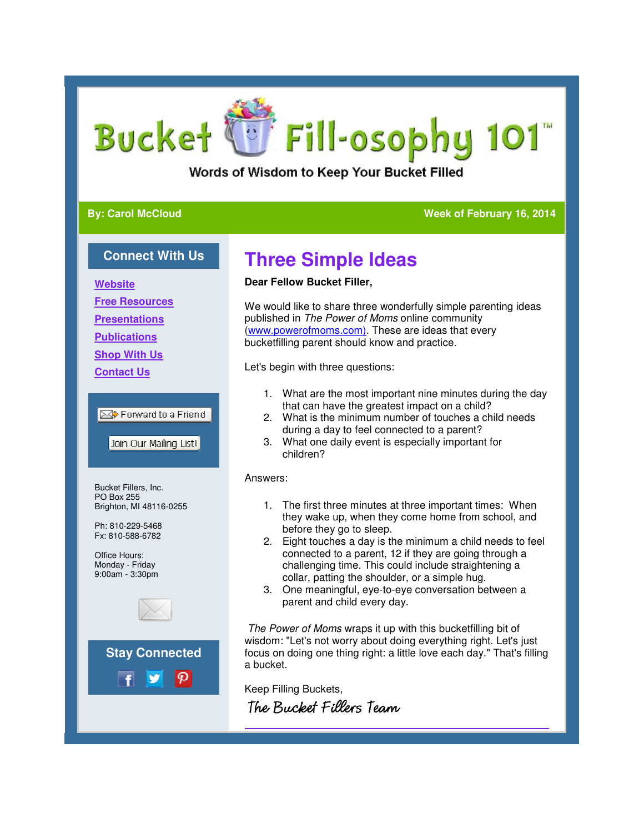# Fill-osophy 101 **Bucket**

Words of Wisdom to Keep Your Bucket Filled

### **By: Carol McCloud**

### **Week of February 16, 2014 2014**

### **Connect With Us**

**Website**

**Free Resources**

**Presentations**

**Publications**

**Shop With Us**

**Contact Us**

### **EX** Forward to a Friend

Join Our Mailing List!

Bucket Fillers, Inc. PO Box 255 Brighton, MI 48116-0255

Ph: 810-229-5468 Fx: 810-588-6782

Office Hours: Monday - Friday 9:00am - 3:30pm





# **Three Simple Ideas**

### **Dear Fellow Bucket Filler,**

We would like to share three wonderfully simple parenting ideas published in The Power of Moms online community (www.powerofmoms.com). These are ideas that every bucketfilling parent should know and practice. We would like to share three wonderfully simple parenting ideas<br>published in *The Power of Moms* online community<br>(www.powerofmoms.com). These are ideas that every<br>bucketfilling parent should know and practice.<br>Let's begin

Let's begin with three questions:

- 1. What are the most important nine minutes during the day that can have the greatest impact on a child?
- 2. What is the minimum number of touches a child needs during a day to feel connected to a parent? he minimum number of touches a child needs<br>day to feel connected to a parent?<br>e daily event is especially important for<br>,<br>three minutes at three important times: When
- 3. What one daily event is especially important for children?

#### Answers:

- 1. The first three minutes at three important times: they wake up, when they come home from school, and before they go to sleep.
- 2. Eight touches a day is the minimum a child needs to feel connected to a parent, 12 if they are going through a challenging time. This could include straightening a collar, patting the shoulder, or a simple hug. they wake up, when they come home from school.<br>before they go to sleep.<br>Eight touches a day is the minimum a child needs<br>connected to a parent, 12 if they are going through<br>challenging time. This could include straightenin
- 3. One meaningful, eye-to-eye conversation between a parent and child every day.

The Power of Moms wraps it up with this bucketfilling bit of 3. One meaningful, eye-to-eye conversation between a<br>parent and child every day.<br>The Power of Moms wraps it up with this bucketfilling bit of<br>wisdom: "Let's not worry about doing everything right. Let's just focus on doing one thing right: a little love each day." That's filling a bucket.

Keep Filling Buckets, The Bucket Fillers Team